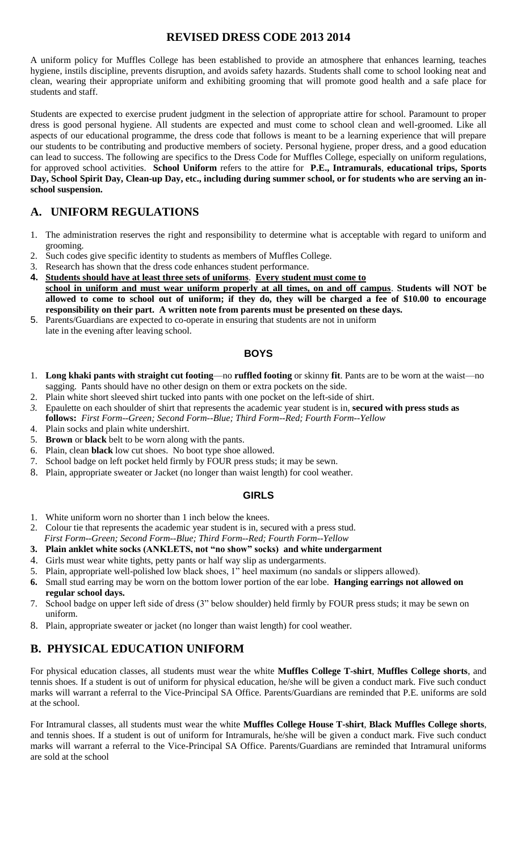## **REVISED DRESS CODE 2013 2014**

A uniform policy for Muffles College has been established to provide an atmosphere that enhances learning, teaches hygiene, instils discipline, prevents disruption, and avoids safety hazards. Students shall come to school looking neat and clean, wearing their appropriate uniform and exhibiting grooming that will promote good health and a safe place for students and staff.

Students are expected to exercise prudent judgment in the selection of appropriate attire for school. Paramount to proper dress is good personal hygiene. All students are expected and must come to school clean and well-groomed. Like all aspects of our educational programme, the dress code that follows is meant to be a learning experience that will prepare our students to be contributing and productive members of society. Personal hygiene, proper dress, and a good education can lead to success. The following are specifics to the Dress Code for Muffles College, especially on uniform regulations, for approved school activities. **School Uniform** refers to the attire for **P.E., Intramurals**, **educational trips, Sports Day, School Spirit Day, Clean-up Day, etc., including during summer school, or for students who are serving an inschool suspension.** 

# **A. UNIFORM REGULATIONS**

- 1. The administration reserves the right and responsibility to determine what is acceptable with regard to uniform and grooming.
- 2. Such codes give specific identity to students as members of Muffles College.
- 3. Research has shown that the dress code enhances student performance.
- **4. Students should have at least three sets of uniforms**. **Every student must come to school in uniform and must wear uniform properly at all times, on and off campus**. **Students will NOT be allowed to come to school out of uniform; if they do, they will be charged a fee of \$10.00 to encourage responsibility on their part. A written note from parents must be presented on these days.**
- 5. Parents/Guardians are expected to co-operate in ensuring that students are not in uniform
- late in the evening after leaving school.

## **BOYS**

- 1. **Long khaki pants with straight cut footing**—no **ruffled footing** or skinny **fit**. Pants are to be worn at the waist—no sagging. Pants should have no other design on them or extra pockets on the side.
- 2. Plain white short sleeved shirt tucked into pants with one pocket on the left-side of shirt.
- *3.* Epaulette on each shoulder of shirt that represents the academic year student is in, **secured with press studs as follows:** *First Form--Green; Second Form--Blue; Third Form--Red; Fourth Form--Yellow*
- 4. Plain socks and plain white undershirt.
- 5. **Brown** or **black** belt to be worn along with the pants.
- 6. Plain, clean **black** low cut shoes. No boot type shoe allowed.
- 7. School badge on left pocket held firmly by FOUR press studs; it may be sewn.
- 8. Plain, appropriate sweater or Jacket (no longer than waist length) for cool weather.

## **GIRLS**

- 1. White uniform worn no shorter than 1 inch below the knees.
- 2. Colour tie that represents the academic year student is in, secured with a press stud.
- *First Form--Green; Second Form--Blue; Third Form--Red; Fourth Form--Yellow*
- **3. Plain anklet white socks (ANKLETS, not "no show" socks) and white undergarment**
- 4. Girls must wear white tights, petty pants or half way slip as undergarments.
- 5. Plain, appropriate well-polished low black shoes, 1" heel maximum (no sandals or slippers allowed).
- **6.** Small stud earring may be worn on the bottom lower portion of the ear lobe. **Hanging earrings not allowed on regular school days.**
- 7. School badge on upper left side of dress (3" below shoulder) held firmly by FOUR press studs; it may be sewn on uniform.
- 8. Plain, appropriate sweater or jacket (no longer than waist length) for cool weather.

## **B. PHYSICAL EDUCATION UNIFORM**

For physical education classes, all students must wear the white **Muffles College T-shirt**, **Muffles College shorts**, and tennis shoes. If a student is out of uniform for physical education, he/she will be given a conduct mark. Five such conduct marks will warrant a referral to the Vice-Principal SA Office. Parents/Guardians are reminded that P.E. uniforms are sold at the school.

For Intramural classes, all students must wear the white **Muffles College House T-shirt**, **Black Muffles College shorts**, and tennis shoes. If a student is out of uniform for Intramurals, he/she will be given a conduct mark. Five such conduct marks will warrant a referral to the Vice-Principal SA Office. Parents/Guardians are reminded that Intramural uniforms are sold at the school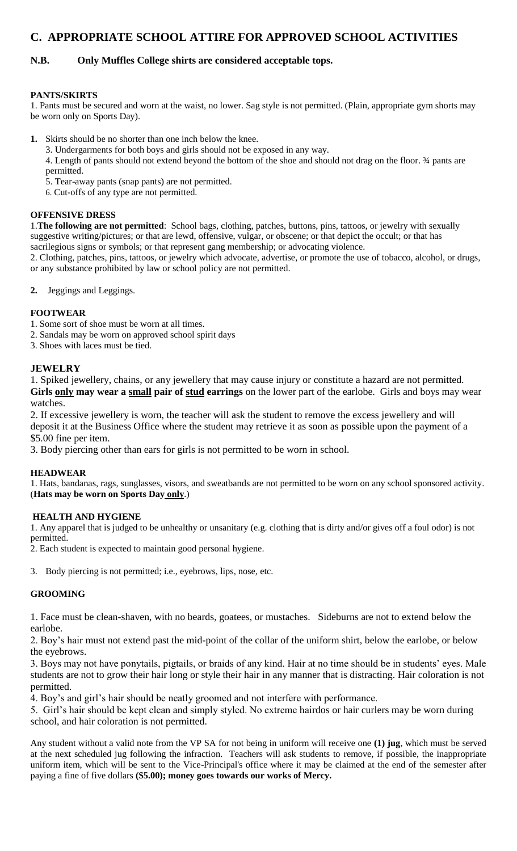## **C. APPROPRIATE SCHOOL ATTIRE FOR APPROVED SCHOOL ACTIVITIES**

## **N.B. Only Muffles College shirts are considered acceptable tops.**

#### **PANTS/SKIRTS**

1. Pants must be secured and worn at the waist, no lower. Sag style is not permitted. (Plain, appropriate gym shorts may be worn only on Sports Day).

- **1.** Skirts should be no shorter than one inch below the knee.
	- 3. Undergarments for both boys and girls should not be exposed in any way.

4. Length of pants should not extend beyond the bottom of the shoe and should not drag on the floor. ¾ pants are permitted.

- 5. Tear-away pants (snap pants) are not permitted.
- 6. Cut-offs of any type are not permitted.

#### **OFFENSIVE DRESS**

1.**The following are not permitted**: School bags, clothing, patches, buttons, pins, tattoos, or jewelry with sexually suggestive writing/pictures; or that are lewd, offensive, vulgar, or obscene; or that depict the occult; or that has sacrilegious signs or symbols; or that represent gang membership; or advocating violence.

2. Clothing, patches, pins, tattoos, or jewelry which advocate, advertise, or promote the use of tobacco, alcohol, or drugs, or any substance prohibited by law or school policy are not permitted.

**2.** Jeggings and Leggings.

#### **FOOTWEAR**

- 1. Some sort of shoe must be worn at all times.
- 2. Sandals may be worn on approved school spirit days
- 3. Shoes with laces must be tied.

#### **JEWELRY**

1. Spiked jewellery, chains, or any jewellery that may cause injury or constitute a hazard are not permitted. **Girls only may wear a small pair of stud earrings** on the lower part of the earlobe. Girls and boys may wear watches.

2. If excessive jewellery is worn, the teacher will ask the student to remove the excess jewellery and will deposit it at the Business Office where the student may retrieve it as soon as possible upon the payment of a \$5.00 fine per item.

3. Body piercing other than ears for girls is not permitted to be worn in school.

#### **HEADWEAR**

1. Hats, bandanas, rags, sunglasses, visors, and sweatbands are not permitted to be worn on any school sponsored activity. (**Hats may be worn on Sports Day only**.)

#### **HEALTH AND HYGIENE**

1. Any apparel that is judged to be unhealthy or unsanitary (e.g. clothing that is dirty and/or gives off a foul odor) is not permitted.

2. Each student is expected to maintain good personal hygiene.

3. Body piercing is not permitted; i.e., eyebrows, lips, nose, etc.

#### **GROOMING**

1. Face must be clean-shaven, with no beards, goatees, or mustaches. Sideburns are not to extend below the earlobe.

2. Boy's hair must not extend past the mid-point of the collar of the uniform shirt, below the earlobe, or below the eyebrows.

3. Boys may not have ponytails, pigtails, or braids of any kind. Hair at no time should be in students' eyes. Male students are not to grow their hair long or style their hair in any manner that is distracting. Hair coloration is not permitted.

4. Boy's and girl's hair should be neatly groomed and not interfere with performance.

5. Girl's hair should be kept clean and simply styled. No extreme hairdos or hair curlers may be worn during school, and hair coloration is not permitted.

Any student without a valid note from the VP SA for not being in uniform will receive one **(1) jug**, which must be served at the next scheduled jug following the infraction. Teachers will ask students to remove, if possible, the inappropriate uniform item, which will be sent to the Vice-Principal's office where it may be claimed at the end of the semester after paying a fine of five dollars **(\$5.00); money goes towards our works of Mercy.**